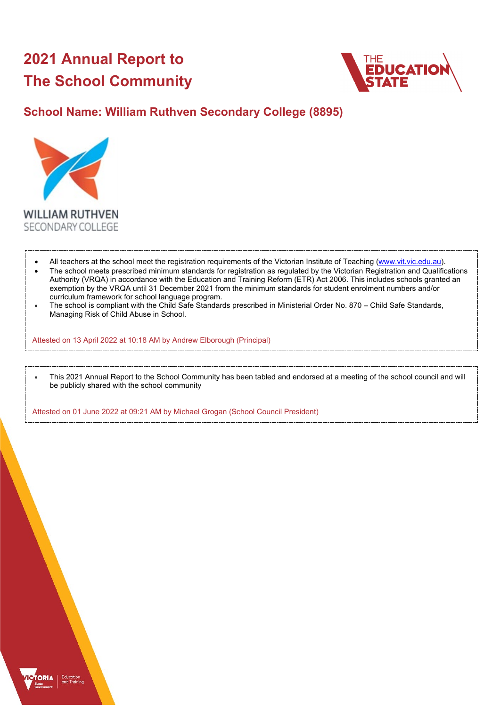# **2021 Annual Report to The School Community**



## **School Name: William Ruthven Secondary College (8895)**



- All teachers at the school meet the registration requirements of the Victorian Institute of Teaching [\(www.vit.vic.edu.au\)](https://www.vit.vic.edu.au/). • The school meets prescribed minimum standards for registration as regulated by the Victorian Registration and Qualifications Authority (VRQA) in accordance with the Education and Training Reform (ETR) Act 2006. This includes schools granted an exemption by the VRQA until 31 December 2021 from the minimum standards for student enrolment numbers and/or curriculum framework for school language program.
- The school is compliant with the Child Safe Standards prescribed in Ministerial Order No. 870 Child Safe Standards, Managing Risk of Child Abuse in School.

Attested on 13 April 2022 at 10:18 AM by Andrew Elborough (Principal)

• This 2021 Annual Report to the School Community has been tabled and endorsed at a meeting of the school council and will be publicly shared with the school community

Attested on 01 June 2022 at 09:21 AM by Michael Grogan (School Council President)

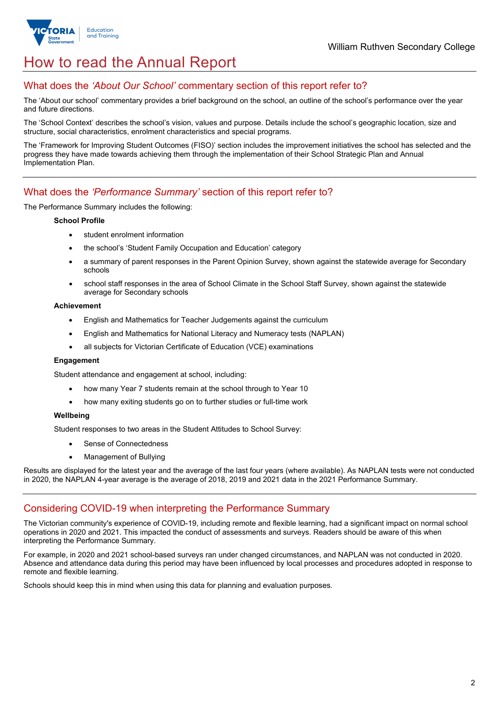

## How to read the Annual Report

### What does the *'About Our School'* commentary section of this report refer to?

The 'About our school' commentary provides a brief background on the school, an outline of the school's performance over the year and future directions.

The 'School Context' describes the school's vision, values and purpose. Details include the school's geographic location, size and structure, social characteristics, enrolment characteristics and special programs.

The 'Framework for Improving Student Outcomes (FISO)' section includes the improvement initiatives the school has selected and the progress they have made towards achieving them through the implementation of their School Strategic Plan and Annual Implementation Plan.

### What does the *'Performance Summary'* section of this report refer to?

The Performance Summary includes the following:

#### **School Profile**

- student enrolment information
- the school's 'Student Family Occupation and Education' category
- a summary of parent responses in the Parent Opinion Survey, shown against the statewide average for Secondary schools
- school staff responses in the area of School Climate in the School Staff Survey, shown against the statewide average for Secondary schools

#### **Achievement**

- English and Mathematics for Teacher Judgements against the curriculum
- English and Mathematics for National Literacy and Numeracy tests (NAPLAN)
- all subjects for Victorian Certificate of Education (VCE) examinations

#### **Engagement**

Student attendance and engagement at school, including:

- how many Year 7 students remain at the school through to Year 10
- how many exiting students go on to further studies or full-time work

#### **Wellbeing**

Student responses to two areas in the Student Attitudes to School Survey:

- Sense of Connectedness
- Management of Bullying

Results are displayed for the latest year and the average of the last four years (where available). As NAPLAN tests were not conducted in 2020, the NAPLAN 4-year average is the average of 2018, 2019 and 2021 data in the 2021 Performance Summary.

#### Considering COVID-19 when interpreting the Performance Summary

The Victorian community's experience of COVID-19, including remote and flexible learning, had a significant impact on normal school operations in 2020 and 2021. This impacted the conduct of assessments and surveys. Readers should be aware of this when interpreting the Performance Summary.

For example, in 2020 and 2021 school-based surveys ran under changed circumstances, and NAPLAN was not conducted in 2020. Absence and attendance data during this period may have been influenced by local processes and procedures adopted in response to remote and flexible learning.

Schools should keep this in mind when using this data for planning and evaluation purposes.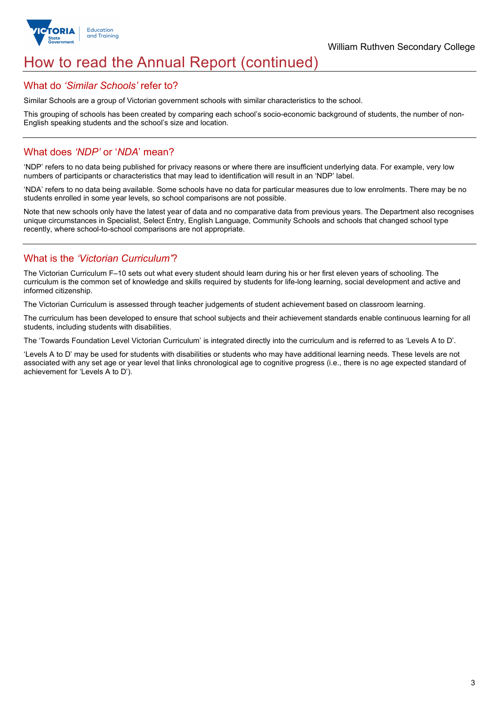

## How to read the Annual Report (continued)

#### What do *'Similar Schools'* refer to?

Similar Schools are a group of Victorian government schools with similar characteristics to the school.

This grouping of schools has been created by comparing each school's socio-economic background of students, the number of non-English speaking students and the school's size and location.

## What does *'NDP'* or '*NDA*' mean?

'NDP' refers to no data being published for privacy reasons or where there are insufficient underlying data. For example, very low numbers of participants or characteristics that may lead to identification will result in an 'NDP' label.

'NDA' refers to no data being available. Some schools have no data for particular measures due to low enrolments. There may be no students enrolled in some year levels, so school comparisons are not possible.

Note that new schools only have the latest year of data and no comparative data from previous years. The Department also recognises unique circumstances in Specialist, Select Entry, English Language, Community Schools and schools that changed school type recently, where school-to-school comparisons are not appropriate.

## What is the *'Victorian Curriculum'*?

The Victorian Curriculum F–10 sets out what every student should learn during his or her first eleven years of schooling. The curriculum is the common set of knowledge and skills required by students for life-long learning, social development and active and informed citizenship.

The Victorian Curriculum is assessed through teacher judgements of student achievement based on classroom learning.

The curriculum has been developed to ensure that school subjects and their achievement standards enable continuous learning for all students, including students with disabilities.

The 'Towards Foundation Level Victorian Curriculum' is integrated directly into the curriculum and is referred to as 'Levels A to D'.

'Levels A to D' may be used for students with disabilities or students who may have additional learning needs. These levels are not associated with any set age or year level that links chronological age to cognitive progress (i.e., there is no age expected standard of achievement for 'Levels A to D').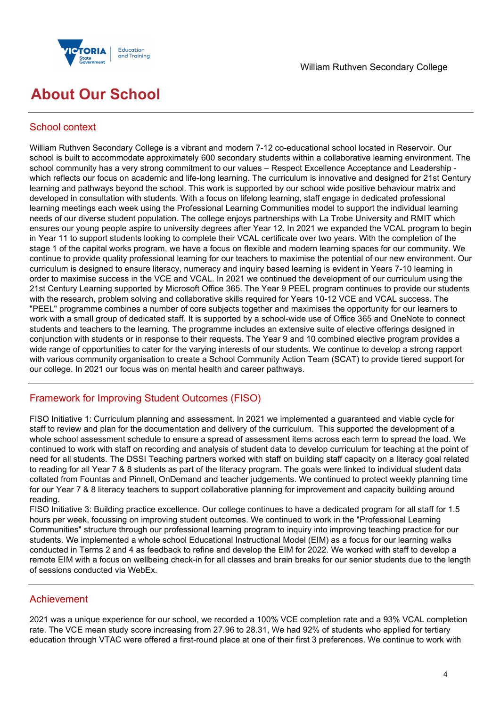

## **About Our School**

## School context

William Ruthven Secondary College is a vibrant and modern 7-12 co-educational school located in Reservoir. Our school is built to accommodate approximately 600 secondary students within a collaborative learning environment. The school community has a very strong commitment to our values – Respect Excellence Acceptance and Leadership which reflects our focus on academic and life-long learning. The curriculum is innovative and designed for 21st Century learning and pathways beyond the school. This work is supported by our school wide positive behaviour matrix and developed in consultation with students. With a focus on lifelong learning, staff engage in dedicated professional learning meetings each week using the Professional Learning Communities model to support the individual learning needs of our diverse student population. The college enjoys partnerships with La Trobe University and RMIT which ensures our young people aspire to university degrees after Year 12. In 2021 we expanded the VCAL program to begin in Year 11 to support students looking to complete their VCAL certificate over two years. With the completion of the stage 1 of the capital works program, we have a focus on flexible and modern learning spaces for our community. We continue to provide quality professional learning for our teachers to maximise the potential of our new environment. Our curriculum is designed to ensure literacy, numeracy and inquiry based learning is evident in Years 7-10 learning in order to maximise success in the VCE and VCAL. In 2021 we continued the development of our curriculum using the 21st Century Learning supported by Microsoft Office 365. The Year 9 PEEL program continues to provide our students with the research, problem solving and collaborative skills required for Years 10-12 VCE and VCAL success. The "PEEL" programme combines a number of core subjects together and maximises the opportunity for our learners to work with a small group of dedicated staff. It is supported by a school-wide use of Office 365 and OneNote to connect students and teachers to the learning. The programme includes an extensive suite of elective offerings designed in conjunction with students or in response to their requests. The Year 9 and 10 combined elective program provides a wide range of opportunities to cater for the varying interests of our students. We continue to develop a strong rapport with various community organisation to create a School Community Action Team (SCAT) to provide tiered support for our college. In 2021 our focus was on mental health and career pathways.

## Framework for Improving Student Outcomes (FISO)

FISO Initiative 1: Curriculum planning and assessment. In 2021 we implemented a guaranteed and viable cycle for staff to review and plan for the documentation and delivery of the curriculum. This supported the development of a whole school assessment schedule to ensure a spread of assessment items across each term to spread the load. We continued to work with staff on recording and analysis of student data to develop curriculum for teaching at the point of need for all students. The DSSI Teaching partners worked with staff on building staff capacity on a literacy goal related to reading for all Year 7 & 8 students as part of the literacy program. The goals were linked to individual student data collated from Fountas and Pinnell, OnDemand and teacher judgements. We continued to protect weekly planning time for our Year 7 & 8 literacy teachers to support collaborative planning for improvement and capacity building around reading.

FISO Initiative 3: Building practice excellence. Our college continues to have a dedicated program for all staff for 1.5 hours per week, focussing on improving student outcomes. We continued to work in the "Professional Learning Communities" structure through our professional learning program to inquiry into improving teaching practice for our students. We implemented a whole school Educational Instructional Model (EIM) as a focus for our learning walks conducted in Terms 2 and 4 as feedback to refine and develop the EIM for 2022. We worked with staff to develop a remote EIM with a focus on wellbeing check-in for all classes and brain breaks for our senior students due to the length of sessions conducted via WebEx.

#### Achievement

2021 was a unique experience for our school, we recorded a 100% VCE completion rate and a 93% VCAL completion rate. The VCE mean study score increasing from 27.96 to 28.31, We had 92% of students who applied for tertiary education through VTAC were offered a first-round place at one of their first 3 preferences. We continue to work with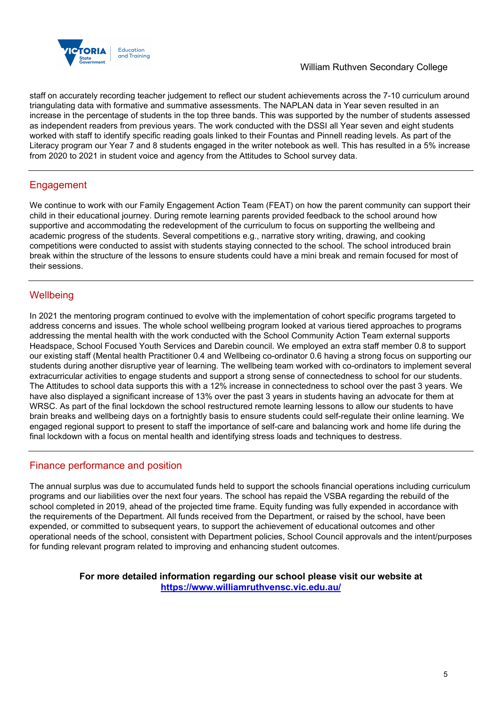

staff on accurately recording teacher judgement to reflect our student achievements across the 7-10 curriculum around triangulating data with formative and summative assessments. The NAPLAN data in Year seven resulted in an increase in the percentage of students in the top three bands. This was supported by the number of students assessed as independent readers from previous years. The work conducted with the DSSI all Year seven and eight students worked with staff to identify specific reading goals linked to their Fountas and Pinnell reading levels. As part of the Literacy program our Year 7 and 8 students engaged in the writer notebook as well. This has resulted in a 5% increase from 2020 to 2021 in student voice and agency from the Attitudes to School survey data.

## Engagement

We continue to work with our Family Engagement Action Team (FEAT) on how the parent community can support their child in their educational journey. During remote learning parents provided feedback to the school around how supportive and accommodating the redevelopment of the curriculum to focus on supporting the wellbeing and academic progress of the students. Several competitions e.g., narrative story writing, drawing, and cooking competitions were conducted to assist with students staying connected to the school. The school introduced brain break within the structure of the lessons to ensure students could have a mini break and remain focused for most of their sessions.

## **Wellbeing**

In 2021 the mentoring program continued to evolve with the implementation of cohort specific programs targeted to address concerns and issues. The whole school wellbeing program looked at various tiered approaches to programs addressing the mental health with the work conducted with the School Community Action Team external supports Headspace, School Focused Youth Services and Darebin council. We employed an extra staff member 0.8 to support our existing staff (Mental health Practitioner 0.4 and Wellbeing co-ordinator 0.6 having a strong focus on supporting our students during another disruptive year of learning. The wellbeing team worked with co-ordinators to implement several extracurricular activities to engage students and support a strong sense of connectedness to school for our students. The Attitudes to school data supports this with a 12% increase in connectedness to school over the past 3 years. We have also displayed a significant increase of 13% over the past 3 years in students having an advocate for them at WRSC. As part of the final lockdown the school restructured remote learning lessons to allow our students to have brain breaks and wellbeing days on a fortnightly basis to ensure students could self-regulate their online learning. We engaged regional support to present to staff the importance of self-care and balancing work and home life during the final lockdown with a focus on mental health and identifying stress loads and techniques to destress.

## Finance performance and position

The annual surplus was due to accumulated funds held to support the schools financial operations including curriculum programs and our liabilities over the next four years. The school has repaid the VSBA regarding the rebuild of the school completed in 2019, ahead of the projected time frame. Equity funding was fully expended in accordance with the requirements of the Department. All funds received from the Department, or raised by the school, have been expended, or committed to subsequent years, to support the achievement of educational outcomes and other operational needs of the school, consistent with Department policies, School Council approvals and the intent/purposes for funding relevant program related to improving and enhancing student outcomes.

> **For more detailed information regarding our school please visit our website at <https://www.williamruthvensc.vic.edu.au/>**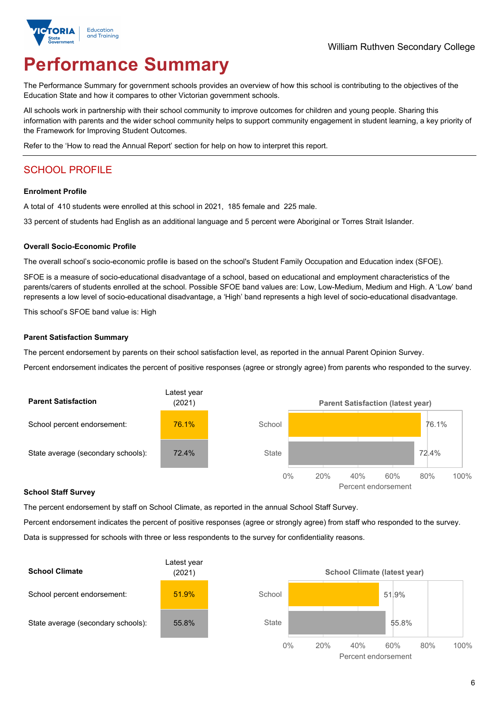

# **Performance Summary**

The Performance Summary for government schools provides an overview of how this school is contributing to the objectives of the Education State and how it compares to other Victorian government schools.

All schools work in partnership with their school community to improve outcomes for children and young people. Sharing this information with parents and the wider school community helps to support community engagement in student learning, a key priority of the Framework for Improving Student Outcomes.

Refer to the 'How to read the Annual Report' section for help on how to interpret this report.

## SCHOOL PROFILE

#### **Enrolment Profile**

A total of 410 students were enrolled at this school in 2021, 185 female and 225 male.

33 percent of students had English as an additional language and 5 percent were Aboriginal or Torres Strait Islander.

#### **Overall Socio-Economic Profile**

The overall school's socio-economic profile is based on the school's Student Family Occupation and Education index (SFOE).

SFOE is a measure of socio-educational disadvantage of a school, based on educational and employment characteristics of the parents/carers of students enrolled at the school. Possible SFOE band values are: Low, Low-Medium, Medium and High. A 'Low' band represents a low level of socio-educational disadvantage, a 'High' band represents a high level of socio-educational disadvantage.

This school's SFOE band value is: High

#### **Parent Satisfaction Summary**

The percent endorsement by parents on their school satisfaction level, as reported in the annual Parent Opinion Survey.

Percent endorsement indicates the percent of positive responses (agree or strongly agree) from parents who responded to the survey.



#### **School Staff Survey**

The percent endorsement by staff on School Climate, as reported in the annual School Staff Survey.

Percent endorsement indicates the percent of positive responses (agree or strongly agree) from staff who responded to the survey. Data is suppressed for schools with three or less respondents to the survey for confidentiality reasons.

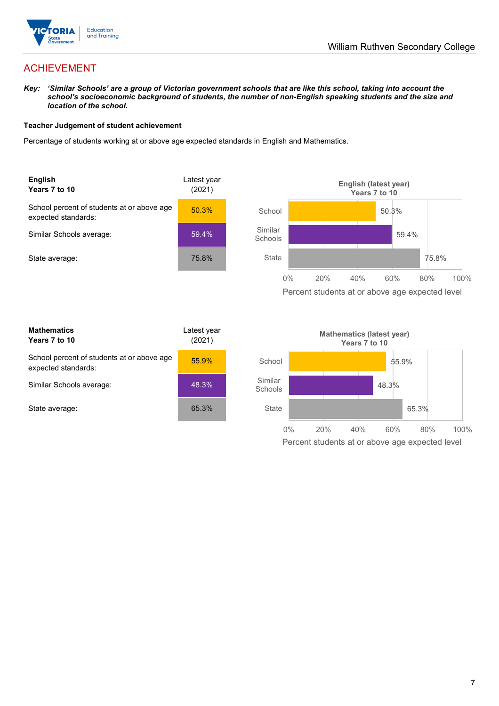

## ACHIEVEMENT

*Key: 'Similar Schools' are a group of Victorian government schools that are like this school, taking into account the school's socioeconomic background of students, the number of non-English speaking students and the size and location of the school.*

#### **Teacher Judgement of student achievement**

Percentage of students working at or above age expected standards in English and Mathematics.



| <b>Mathematics</b><br>Years 7 to 10                               | Latest year<br>(2021) |  |
|-------------------------------------------------------------------|-----------------------|--|
| School percent of students at or above age<br>expected standards: | 55.9%                 |  |
| Similar Schools average:                                          | 48.3%                 |  |
| State average:                                                    | 65.3%                 |  |

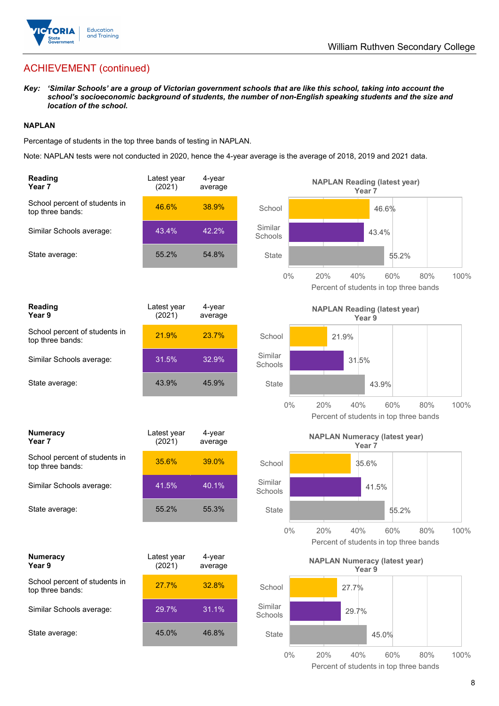

## ACHIEVEMENT (continued)

*Key: 'Similar Schools' are a group of Victorian government schools that are like this school, taking into account the school's socioeconomic background of students, the number of non-English speaking students and the size and location of the school.*

#### **NAPLAN**

Percentage of students in the top three bands of testing in NAPLAN.

Note: NAPLAN tests were not conducted in 2020, hence the 4-year average is the average of 2018, 2019 and 2021 data.

| <b>Reading</b><br>Year 7                          | Latest year<br>(2021) | 4-year<br>average | <b>NAPLAN Reading (latest year)</b><br>Year 7                               |      |
|---------------------------------------------------|-----------------------|-------------------|-----------------------------------------------------------------------------|------|
| School percent of students in<br>top three bands: | 46.6%                 | 38.9%             | School<br>46.6%                                                             |      |
| Similar Schools average:                          | 43.4%                 | 42.2%             | Similar<br>43.4%<br>Schools                                                 |      |
| State average:                                    | 55.2%                 | 54.8%             | <b>State</b><br>55.2%                                                       |      |
|                                                   |                       |                   | $0\%$<br>20%<br>40%<br>60%<br>80%<br>Percent of students in top three bands | 100% |
| <b>Reading</b><br>Year 9                          | Latest year<br>(2021) | 4-year<br>average | <b>NAPLAN Reading (latest year)</b><br>Year <sub>9</sub>                    |      |
| School percent of students in<br>top three bands: | 21.9%                 | 23.7%             | School<br>21.9%                                                             |      |
| Similar Schools average:                          | 31.5%                 | 32.9%             | Similar<br>31.5%<br>Schools                                                 |      |
| State average:                                    | 43.9%                 | 45.9%             | <b>State</b><br>43.9%                                                       |      |
|                                                   |                       |                   | 20%<br>$0\%$<br>40%<br>60%<br>80%<br>Percent of students in top three bands | 100% |
|                                                   |                       |                   |                                                                             |      |
| <b>Numeracy</b><br>Year 7                         | Latest year<br>(2021) | 4-year<br>average | <b>NAPLAN Numeracy (latest year)</b><br>Year <sub>7</sub>                   |      |
| School percent of students in<br>top three bands: | 35.6%                 | 39.0%             | School<br>35.6%                                                             |      |
| Similar Schools average:                          | 41.5%                 | 40.1%             | Similar<br>41.5%<br>Schools                                                 |      |
| State average:                                    | 55.2%                 | 55.3%             | <b>State</b><br>55.2%                                                       |      |
|                                                   |                       |                   | $0\%$<br>20%<br>40%<br>80%<br>60%<br>Percent of students in top three bands | 100% |
| <b>Numeracy</b><br>Year 9                         | Latest year<br>(2021) | 4-year<br>average | <b>NAPLAN Numeracy (latest year)</b><br>Year 9                              |      |
| School percent of students in<br>top three bands: | 27.7%                 | 32.8%             | School<br>27.7%                                                             |      |
| Similar Schools average:                          | 29.7%                 | 31.1%             | Similar<br>29.7%<br>Schools                                                 |      |
| State average:                                    | 45.0%                 | 46.8%             | <b>State</b><br>45.0%                                                       |      |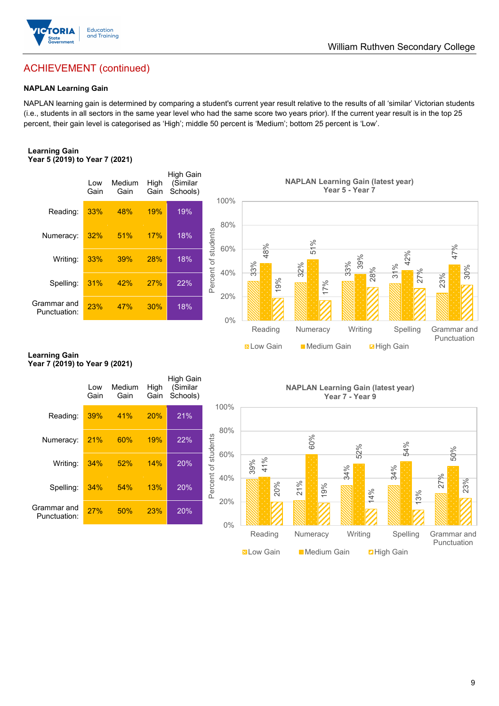

### William Ruthven Secondary College

## ACHIEVEMENT (continued)

#### **NAPLAN Learning Gain**

NAPLAN learning gain is determined by comparing a student's current year result relative to the results of all 'similar' Victorian students (i.e., students in all sectors in the same year level who had the same score two years prior). If the current year result is in the top 25 percent, their gain level is categorised as 'High'; middle 50 percent is 'Medium'; bottom 25 percent is 'Low'.

#### **Learning Gain Year 5 (2019) to Year 7 (2021)**



#### **Learning Gain Year 7 (2019) to Year 9 (2021)**

| Spelling:<br>Grammar and<br>Punctuation:<br><b>Learning Gain</b> | 31%<br>23%  | 42%<br>47%     | 27%<br>30%   | 22%<br>18%                               | Percent c<br>40%<br>20%<br>0% | 33%<br>19%<br>Reading<br><b>N</b> Low Gain | 32%<br>17%<br>Numeracy<br>Medium Gain     | 33%<br>္ကိ<br>28%<br>Writing | 4<br>31%<br>27%<br>Spelling<br><b>Z</b> High Gain | 30%<br>23%<br>Grammar and<br>Punctuation |
|------------------------------------------------------------------|-------------|----------------|--------------|------------------------------------------|-------------------------------|--------------------------------------------|-------------------------------------------|------------------------------|---------------------------------------------------|------------------------------------------|
| Year 7 (2019) to Year 9 (2021)                                   | Low<br>Gain | Medium<br>Gain | High<br>Gain | <b>High Gain</b><br>(Similar<br>Schools) |                               |                                            | <b>NAPLAN Learning Gain (latest year)</b> | Year 7 - Year 9              |                                                   |                                          |
| Reading:                                                         | 39%         | 41%            | 20%          | 21%                                      | 100%<br>80%                   |                                            |                                           |                              |                                                   |                                          |
| Numeracy:                                                        | 21%         | 60%            | 19%          | 22%                                      | 60%                           |                                            | 60%                                       | 52%                          | 54%                                               | 50%                                      |
| Writing:                                                         | 34%         | 52%            | 14%          | 20%                                      | Percent of students<br>40%    | 41%<br>39%                                 |                                           | 34%                          | 34%                                               |                                          |
| Spelling:                                                        | 34%         | 54%            | 13%          | 20%                                      | 20%                           | 20%                                        | 21%<br>19%                                | 14%                          | 13%                                               | 27%<br>23%                               |
| Grammar and<br>Punctuation:                                      | 27%         | 50%            | 23%          | 20%                                      | $0\%$                         |                                            |                                           |                              |                                                   |                                          |
|                                                                  |             |                |              |                                          |                               | Reading<br><b>N</b> Low Gain               | Numeracy<br><b>Medium Gain</b>            | Writing                      | Spelling<br><b>D</b> High Gain                    | Grammar and<br>Punctuation               |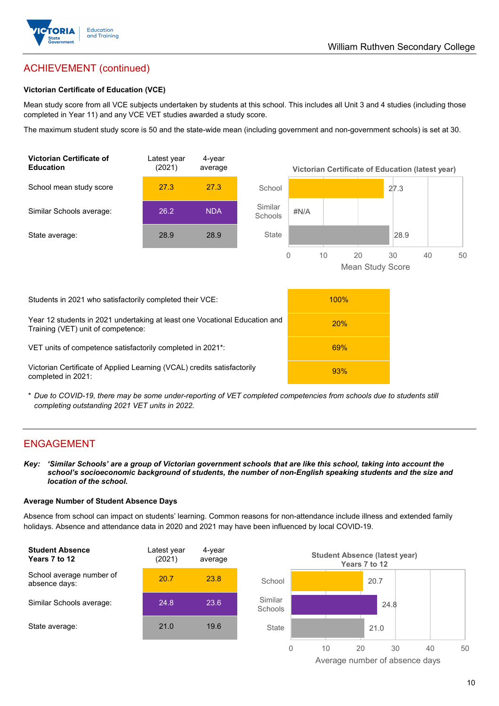

## ACHIEVEMENT (continued)

#### **Victorian Certificate of Education (VCE)**

Mean study score from all VCE subjects undertaken by students at this school. This includes all Unit 3 and 4 studies (including those completed in Year 11) and any VCE VET studies awarded a study score.

The maximum student study score is 50 and the state-wide mean (including government and non-government schools) is set at 30.



\* *Due to COVID-19, there may be some under-reporting of VET completed competencies from schools due to students still completing outstanding 2021 VET units in 2022.*

#### ENGAGEMENT

*Key: 'Similar Schools' are a group of Victorian government schools that are like this school, taking into account the school's socioeconomic background of students, the number of non-English speaking students and the size and location of the school.*

#### **Average Number of Student Absence Days**

Absence from school can impact on students' learning. Common reasons for non-attendance include illness and extended family holidays. Absence and attendance data in 2020 and 2021 may have been influenced by local COVID-19.



Average number of absence days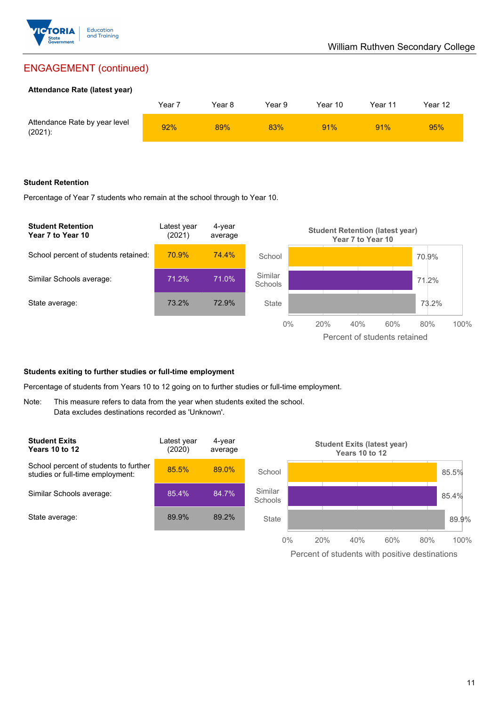

## ENGAGEMENT (continued)

#### **Attendance Rate (latest year)**

|                                             | Year i | Year 8 | Year 9 | Year 10 | Year 11 | Year 12 |
|---------------------------------------------|--------|--------|--------|---------|---------|---------|
| Attendance Rate by year level<br>$(2021)$ : | 92%    | 89%    | 83%    | 91%     | 91%     | 95%     |

#### **Student Retention**

Percentage of Year 7 students who remain at the school through to Year 10.



#### **Students exiting to further studies or full-time employment**

Percentage of students from Years 10 to 12 going on to further studies or full-time employment.

Note: This measure refers to data from the year when students exited the school. Data excludes destinations recorded as 'Unknown'.

| <b>Student Exits</b><br><b>Years 10 to 12</b>                             | Latest year<br>(2020) | 4-year<br>average |                           |     | <b>Student Exits (latest year)</b><br><b>Years 10 to 12</b> |     |     |       |
|---------------------------------------------------------------------------|-----------------------|-------------------|---------------------------|-----|-------------------------------------------------------------|-----|-----|-------|
| School percent of students to further<br>studies or full-time employment: | 85.5%                 | 89.0%             | School                    |     |                                                             |     |     | 85.5% |
| Similar Schools average:                                                  | 85.4%                 | 84.7%             | Similar<br><b>Schools</b> |     |                                                             |     |     | 85.4% |
| State average:                                                            | 89.9%                 | 89.2%             | State                     |     |                                                             |     |     | 89.9% |
|                                                                           |                       |                   | $0\%$                     | 20% | 40%                                                         | 60% | 80% | 100%  |

Percent of students with positive destinations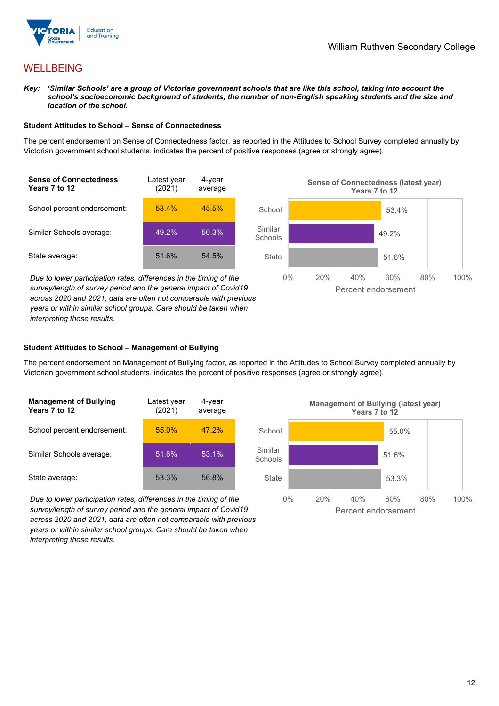

## **WELLBEING**

*Key: 'Similar Schools' are a group of Victorian government schools that are like this school, taking into account the school's socioeconomic background of students, the number of non-English speaking students and the size and location of the school.*

#### **Student Attitudes to School – Sense of Connectedness**

The percent endorsement on Sense of Connectedness factor, as reported in the Attitudes to School Survey completed annually by Victorian government school students, indicates the percent of positive responses (agree or strongly agree).



*Due to lower participation rates, differences in the timing of the survey/length of survey period and the general impact of Covid19 across 2020 and 2021, data are often not comparable with previous years or within similar school groups. Care should be taken when interpreting these results.*



#### **Student Attitudes to School – Management of Bullying**

The percent endorsement on Management of Bullying factor, as reported in the Attitudes to School Survey completed annually by Victorian government school students, indicates the percent of positive responses (agree or strongly agree).

| <b>Management of Bullying</b><br>Years 7 to 12 | Latest year<br>(2021) | 4-year<br>average |  |
|------------------------------------------------|-----------------------|-------------------|--|
| School percent endorsement:                    | 55.0%                 | 47.2%             |  |
| Similar Schools average:                       | 51.6%                 | 53.1%             |  |
| State average:                                 | 53.3%                 | 56.8%             |  |

*Due to lower participation rates, differences in the timing of the survey/length of survey period and the general impact of Covid19 across 2020 and 2021, data are often not comparable with previous years or within similar school groups. Care should be taken when interpreting these results.*

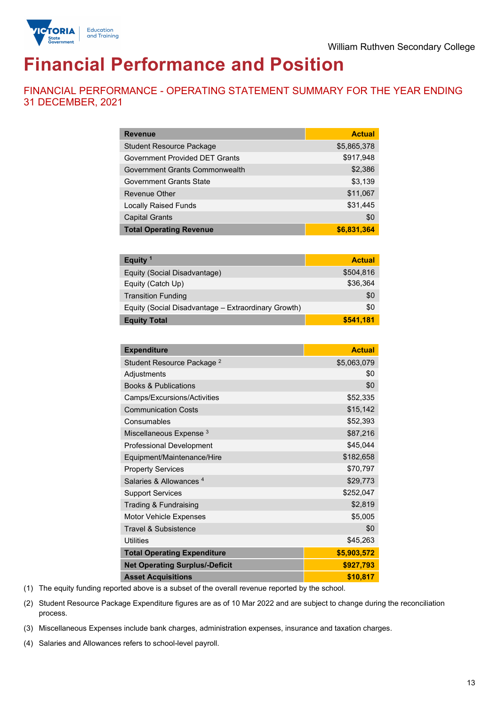

# **Financial Performance and Position**

FINANCIAL PERFORMANCE - OPERATING STATEMENT SUMMARY FOR THE YEAR ENDING 31 DECEMBER, 2021

| <b>Revenue</b>                        | <b>Actual</b> |
|---------------------------------------|---------------|
| <b>Student Resource Package</b>       | \$5,865,378   |
| <b>Government Provided DET Grants</b> | \$917,948     |
| Government Grants Commonwealth        | \$2,386       |
| <b>Government Grants State</b>        | \$3,139       |
| <b>Revenue Other</b>                  | \$11,067      |
| <b>Locally Raised Funds</b>           | \$31,445      |
| <b>Capital Grants</b>                 | \$0           |
| <b>Total Operating Revenue</b>        | \$6,831,364   |

| Equity <sup>1</sup>                                 | <b>Actual</b> |
|-----------------------------------------------------|---------------|
| Equity (Social Disadvantage)                        | \$504,816     |
| Equity (Catch Up)                                   | \$36.364      |
| <b>Transition Funding</b>                           | \$0           |
| Equity (Social Disadvantage - Extraordinary Growth) | \$0           |
| <b>Equity Total</b>                                 | \$541,181     |

| <b>Expenditure</b>                    | <b>Actual</b> |
|---------------------------------------|---------------|
| Student Resource Package <sup>2</sup> | \$5,063,079   |
| Adjustments                           | \$0           |
| <b>Books &amp; Publications</b>       | \$0           |
| Camps/Excursions/Activities           | \$52,335      |
| <b>Communication Costs</b>            | \$15,142      |
| Consumables                           | \$52,393      |
| Miscellaneous Expense <sup>3</sup>    | \$87,216      |
| <b>Professional Development</b>       | \$45,044      |
| Equipment/Maintenance/Hire            | \$182,658     |
| <b>Property Services</b>              | \$70,797      |
| Salaries & Allowances <sup>4</sup>    | \$29,773      |
| <b>Support Services</b>               | \$252,047     |
| Trading & Fundraising                 | \$2,819       |
| Motor Vehicle Expenses                | \$5,005       |
| <b>Travel &amp; Subsistence</b>       | \$0           |
| <b>Utilities</b>                      | \$45,263      |
| <b>Total Operating Expenditure</b>    | \$5,903,572   |
| <b>Net Operating Surplus/-Deficit</b> | \$927,793     |
| <b>Asset Acquisitions</b>             | \$10,817      |

(1) The equity funding reported above is a subset of the overall revenue reported by the school.

(2) Student Resource Package Expenditure figures are as of 10 Mar 2022 and are subject to change during the reconciliation process.

(3) Miscellaneous Expenses include bank charges, administration expenses, insurance and taxation charges.

(4) Salaries and Allowances refers to school-level payroll.